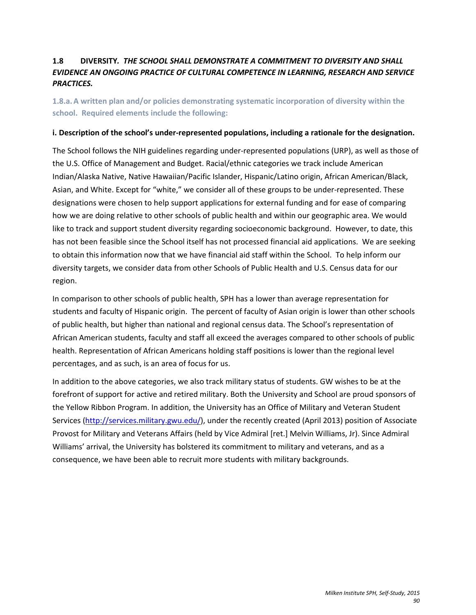## **1.8 DIVERSITY***. THE SCHOOL SHALL DEMONSTRATE A COMMITMENT TO DIVERSITY AND SHALL EVIDENCE AN ONGOING PRACTICE OF CULTURAL COMPETENCE IN LEARNING, RESEARCH AND SERVICE PRACTICES.*

**1.8.a.A written plan and/or policies demonstrating systematic incorporation of diversity within the school. Required elements include the following:** 

### **i. Description of the school's under-represented populations, including a rationale for the designation.**

The School follows the NIH guidelines regarding under-represented populations (URP), as well as those of the U.S. Office of Management and Budget. Racial/ethnic categories we track include American Indian/Alaska Native, Native Hawaiian/Pacific Islander, Hispanic/Latino origin, African American/Black, Asian, and White. Except for "white," we consider all of these groups to be under-represented. These designations were chosen to help support applications for external funding and for ease of comparing how we are doing relative to other schools of public health and within our geographic area. We would like to track and support student diversity regarding socioeconomic background. However, to date, this has not been feasible since the School itself has not processed financial aid applications. We are seeking to obtain this information now that we have financial aid staff within the School. To help inform our diversity targets, we consider data from other Schools of Public Health and U.S. Census data for our region.

In comparison to other schools of public health, SPH has a lower than average representation for students and faculty of Hispanic origin. The percent of faculty of Asian origin is lower than other schools of public health, but higher than national and regional census data. The School's representation of African American students, faculty and staff all exceed the averages compared to other schools of public health. Representation of African Americans holding staff positions is lower than the regional level percentages, and as such, is an area of focus for us.

In addition to the above categories, we also track military status of students. GW wishes to be at the forefront of support for active and retired military. Both the University and School are proud sponsors of the Yellow Ribbon Program. In addition, the University has an Office of Military and Veteran Student Services [\(http://services.military.gwu.edu/\)](http://services.military.gwu.edu/), under the recently created (April 2013) position of Associate Provost for Military and Veterans Affairs (held by Vice Admiral [ret.] Melvin Williams, Jr). Since Admiral Williams' arrival, the University has bolstered its commitment to military and veterans, and as a consequence, we have been able to recruit more students with military backgrounds.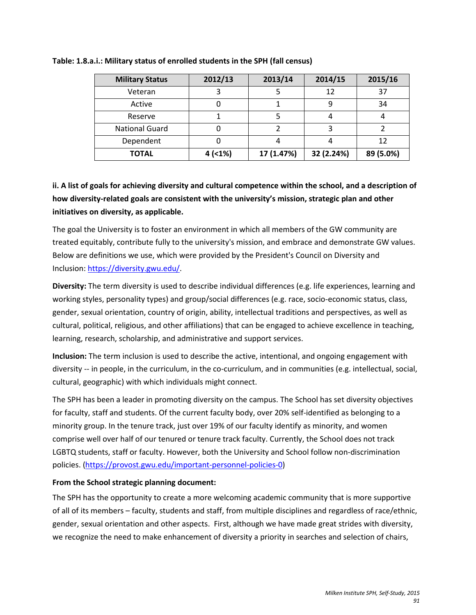| <b>Military Status</b> | 2012/13 | 2013/14    | 2014/15    | 2015/16   |
|------------------------|---------|------------|------------|-----------|
| Veteran                |         |            | 12         | 37        |
| Active                 |         |            |            | 34        |
| Reserve                |         |            |            |           |
| <b>National Guard</b>  |         |            |            |           |
| Dependent              |         |            |            | 12        |
| <b>TOTAL</b>           | 4(1%)   | 17 (1.47%) | 32 (2.24%) | 89 (5.0%) |

### **Table: 1.8.a.i.: Military status of enrolled students in the SPH (fall census)**

# **ii. A list of goals for achieving diversity and cultural competence within the school, and a description of how diversity-related goals are consistent with the university's mission, strategic plan and other initiatives on diversity, as applicable.**

The goal the University is to foster an environment in which all members of the GW community are treated equitably, contribute fully to the university's mission, and embrace and demonstrate GW values. Below are definitions we use, which were provided by the President's Council on Diversity and Inclusion: [https://diversity.gwu.edu/.](https://diversity.gwu.edu/)

**Diversity:** The term diversity is used to describe individual differences (e.g. life experiences, learning and working styles, personality types) and group/social differences (e.g. race, socio-economic status, class, gender, sexual orientation, country of origin, ability, intellectual traditions and perspectives, as well as cultural, political, religious, and other affiliations) that can be engaged to achieve excellence in teaching, learning, research, scholarship, and administrative and support services.

**Inclusion:** The term inclusion is used to describe the active, intentional, and ongoing engagement with diversity -- in people, in the curriculum, in the co-curriculum, and in communities (e.g. intellectual, social, cultural, geographic) with which individuals might connect.

The SPH has been a leader in promoting diversity on the campus. The School has set diversity objectives for faculty, staff and students. Of the current faculty body, over 20% self-identified as belonging to a minority group. In the tenure track, just over 19% of our faculty identify as minority, and women comprise well over half of our tenured or tenure track faculty. Currently, the School does not track LGBTQ students, staff or faculty. However, both the University and School follow non-discrimination policies. [\(https://provost.gwu.edu/important-personnel-policies-0\)](https://provost.gwu.edu/important-personnel-policies-0)

# **From the School strategic planning document:**

The SPH has the opportunity to create a more welcoming academic community that is more supportive of all of its members – faculty, students and staff, from multiple disciplines and regardless of race/ethnic, gender, sexual orientation and other aspects. First, although we have made great strides with diversity, we recognize the need to make enhancement of diversity a priority in searches and selection of chairs,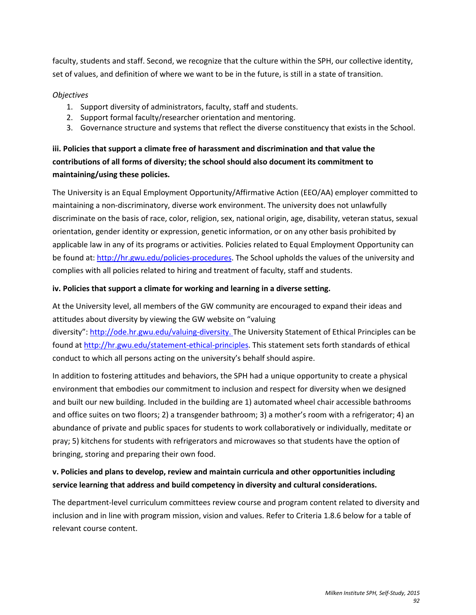faculty, students and staff. Second, we recognize that the culture within the SPH, our collective identity, set of values, and definition of where we want to be in the future, is still in a state of transition.

### *Objectives*

- 1. Support diversity of administrators, faculty, staff and students.
- 2. Support formal faculty/researcher orientation and mentoring.
- 3. Governance structure and systems that reflect the diverse constituency that exists in the School.

# **iii. Policies that support a climate free of harassment and discrimination and that value the contributions of all forms of diversity; the school should also document its commitment to maintaining/using these policies.**

The University is an Equal Employment Opportunity/Affirmative Action (EEO/AA) employer committed to maintaining a non-discriminatory, diverse work environment. The university does not unlawfully discriminate on the basis of race, color, religion, sex, national origin, age, disability, veteran status, sexual orientation, gender identity or expression, genetic information, or on any other basis prohibited by applicable law in any of its programs or activities. Policies related to Equal Employment Opportunity can be found at[: http://hr.gwu.edu/policies-procedures.](http://hr.gwu.edu/policies-procedures) The School upholds the values of the university and complies with all policies related to hiring and treatment of faculty, staff and students.

## **iv. Policies that support a climate for working and learning in a diverse setting.**

At the University level, all members of the GW community are encouraged to expand their ideas and attitudes about diversity by viewing the GW website on "valuing diversity"[: http://ode.hr.gwu.edu/valuing-diversity.](http://ode.hr.gwu.edu/valuing-diversity) The University Statement of Ethical Principles can be

found at [http://hr.gwu.edu/statement-ethical-principles.](http://hr.gwu.edu/statement-ethical-principles) This statement sets forth standards of ethical conduct to which all persons acting on the university's behalf should aspire.

In addition to fostering attitudes and behaviors, the SPH had a unique opportunity to create a physical environment that embodies our commitment to inclusion and respect for diversity when we designed and built our new building. Included in the building are 1) automated wheel chair accessible bathrooms and office suites on two floors; 2) a transgender bathroom; 3) a mother's room with a refrigerator; 4) an abundance of private and public spaces for students to work collaboratively or individually, meditate or pray; 5) kitchens for students with refrigerators and microwaves so that students have the option of bringing, storing and preparing their own food.

# **v. Policies and plans to develop, review and maintain curricula and other opportunities including service learning that address and build competency in diversity and cultural considerations.**

The department-level curriculum committees review course and program content related to diversity and inclusion and in line with program mission, vision and values. Refer to Criteria 1.8.6 below for a table of relevant course content.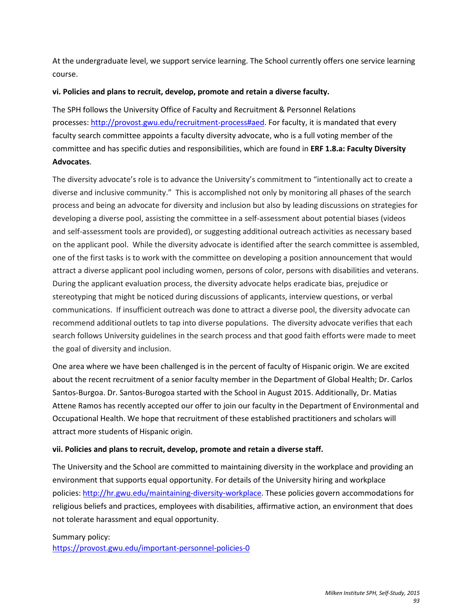At the undergraduate level, we support service learning. The School currently offers one service learning course.

## **vi. Policies and plans to recruit, develop, promote and retain a diverse faculty.**

The SPH follows the University Office of Faculty and Recruitment & Personnel Relations processes: [http://provost.gwu.edu/recruitment-process#aed.](http://provost.gwu.edu/recruitment-process%23aed) For faculty, it is mandated that every faculty search committee appoints a faculty diversity advocate, who is a full voting member of the committee and has specific duties and responsibilities, which are found in **ERF 1.8.a: Faculty Diversity Advocates**.

The diversity advocate's role is to advance the University's commitment to "intentionally act to create a diverse and inclusive community." This is accomplished not only by monitoring all phases of the search process and being an advocate for diversity and inclusion but also by leading discussions on strategies for developing a diverse pool, assisting the committee in a self-assessment about potential biases (videos and self-assessment tools are provided), or suggesting additional outreach activities as necessary based on the applicant pool. While the diversity advocate is identified after the search committee is assembled, one of the first tasks is to work with the committee on developing a position announcement that would attract a diverse applicant pool including women, persons of color, persons with disabilities and veterans. During the applicant evaluation process, the diversity advocate helps eradicate bias, prejudice or stereotyping that might be noticed during discussions of applicants, interview questions, or verbal communications. If insufficient outreach was done to attract a diverse pool, the diversity advocate can recommend additional outlets to tap into diverse populations. The diversity advocate verifies that each search follows University guidelines in the search process and that good faith efforts were made to meet the goal of diversity and inclusion.

One area where we have been challenged is in the percent of faculty of Hispanic origin. We are excited about the recent recruitment of a senior faculty member in the Department of Global Health; Dr. Carlos Santos-Burgoa. Dr. Santos-Burogoa started with the School in August 2015. Additionally, Dr. Matias Attene Ramos has recently accepted our offer to join our faculty in the Department of Environmental and Occupational Health. We hope that recruitment of these established practitioners and scholars will attract more students of Hispanic origin.

## **vii. Policies and plans to recruit, develop, promote and retain a diverse staff.**

The University and the School are committed to maintaining diversity in the workplace and providing an environment that supports equal opportunity. For details of the University hiring and workplace policies[: http://hr.gwu.edu/maintaining-diversity-workplace.](http://hr.gwu.edu/maintaining-diversity-workplace) These policies govern accommodations for religious beliefs and practices, employees with disabilities, affirmative action, an environment that does not tolerate harassment and equal opportunity.

### Summary policy:

<https://provost.gwu.edu/important-personnel-policies-0>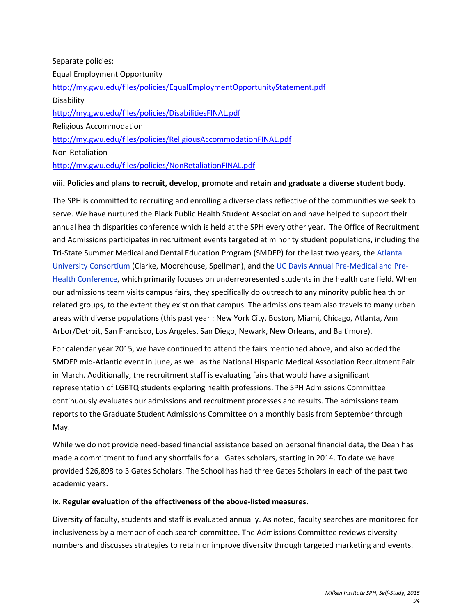# Separate policies: Equal Employment Opportunity <http://my.gwu.edu/files/policies/EqualEmploymentOpportunityStatement.pdf> **Disability** <http://my.gwu.edu/files/policies/DisabilitiesFINAL.pdf> Religious Accommodation <http://my.gwu.edu/files/policies/ReligiousAccommodationFINAL.pdf> Non-Retaliation <http://my.gwu.edu/files/policies/NonRetaliationFINAL.pdf>

### **viii. Policies and plans to recruit, develop, promote and retain and graduate a diverse student body.**

The SPH is committed to recruiting and enrolling a diverse class reflective of the communities we seek to serve. We have nurtured the Black Public Health Student Association and have helped to support their annual health disparities conference which is held at the SPH every other year. The Office of Recruitment and Admissions participates in recruitment events targeted at minority student populations, including the Tri-State Summer Medical and Dental Education Program (SMDEP) for the last two years, the [Atlanta](http://www.aucconsortium.org/academic-careers/)  [University Consortium](http://www.aucconsortium.org/academic-careers/) (Clarke, Moorehouse, Spellman), and th[e UC Davis Annual Pre-Medical and Pre-](http://www.ucdprehealth.org/about/)[Health Conference,](http://www.ucdprehealth.org/about/) which primarily focuses on underrepresented students in the health care field. When our admissions team visits campus fairs, they specifically do outreach to any minority public health or related groups, to the extent they exist on that campus. The admissions team also travels to many urban areas with diverse populations (this past year : New York City, Boston, Miami, Chicago, Atlanta, Ann Arbor/Detroit, San Francisco, Los Angeles, San Diego, Newark, New Orleans, and Baltimore).

For calendar year 2015, we have continued to attend the fairs mentioned above, and also added the SMDEP mid-Atlantic event in June, as well as the National Hispanic Medical Association Recruitment Fair in March. Additionally, the recruitment staff is evaluating fairs that would have a significant representation of LGBTQ students exploring health professions. The SPH Admissions Committee continuously evaluates our admissions and recruitment processes and results. The admissions team reports to the Graduate Student Admissions Committee on a monthly basis from September through May.

While we do not provide need-based financial assistance based on personal financial data, the Dean has made a commitment to fund any shortfalls for all Gates scholars, starting in 2014. To date we have provided \$26,898 to 3 Gates Scholars. The School has had three Gates Scholars in each of the past two academic years.

### **ix. Regular evaluation of the effectiveness of the above-listed measures.**

Diversity of faculty, students and staff is evaluated annually. As noted, faculty searches are monitored for inclusiveness by a member of each search committee. The Admissions Committee reviews diversity numbers and discusses strategies to retain or improve diversity through targeted marketing and events.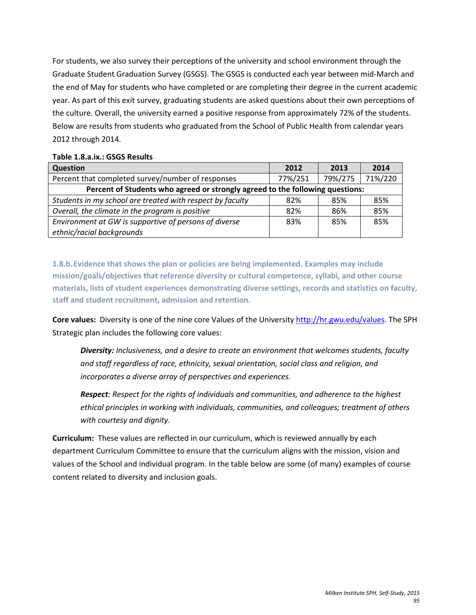For students, we also survey their perceptions of the university and school environment through the Graduate Student Graduation Survey (GSGS). The GSGS is conducted each year between mid-March and the end of May for students who have completed or are completing their degree in the current academic year. As part of this exit survey, graduating students are asked questions about their own perceptions of the culture. Overall, the university earned a positive response from approximately 72% of the students. Below are results from students who graduated from the School of Public Health from calendar years 2012 through 2014.

| <b>Question</b>                                                               | 2012    | 2013    | 2014    |  |
|-------------------------------------------------------------------------------|---------|---------|---------|--|
| Percent that completed survey/number of responses                             | 77%/251 | 79%/275 | 71%/220 |  |
| Percent of Students who agreed or strongly agreed to the following questions: |         |         |         |  |
| Students in my school are treated with respect by faculty                     | 82%     | 85%     | 85%     |  |
| Overall, the climate in the program is positive                               | 82%     | 86%     | 85%     |  |
| Environment at GW is supportive of persons of diverse                         | 83%     | 85%     | 85%     |  |
| ethnic/racial backgrounds                                                     |         |         |         |  |

### **Table 1.8.a.ix.: GSGS Results**

**1.8.b.Evidence that shows the plan or policies are being implemented. Examples may include mission/goals/objectives that reference diversity or cultural competence, syllabi, and other course materials, lists of student experiences demonstrating diverse settings, records and statistics on faculty, staff and student recruitment, admission and retention.**

**Core values:** Diversity is one of the nine core Values of the University [http://hr.gwu.edu/values.](http://hr.gwu.edu/values) The SPH Strategic plan includes the following core values:

*Diversity: Inclusiveness, and a desire to create an environment that welcomes students, faculty and staff regardless of race, ethnicity, sexual orientation, social class and religion, and incorporates a diverse array of perspectives and experiences.* 

*Respect: Respect for the rights of individuals and communities, and adherence to the highest ethical principles in working with individuals, communities, and colleagues; treatment of others with courtesy and dignity.*

**Curriculum:** These values are reflected in our curriculum, which is reviewed annually by each department Curriculum Committee to ensure that the curriculum aligns with the mission, vision and values of the School and individual program. In the table below are some (of many) examples of course content related to diversity and inclusion goals.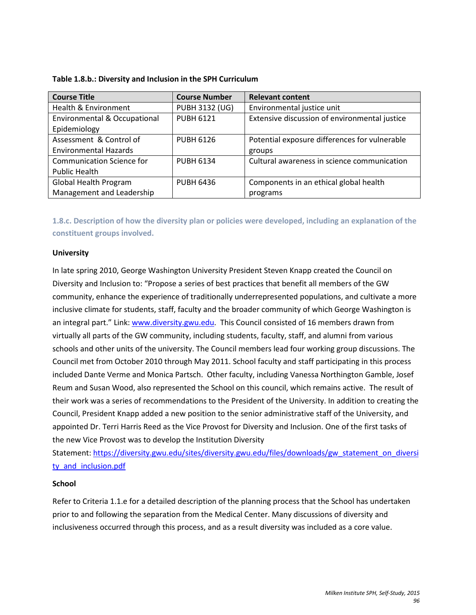| <b>Course Title</b>                     | <b>Course Number</b>  | <b>Relevant content</b>                       |
|-----------------------------------------|-----------------------|-----------------------------------------------|
| Health & Environment                    | <b>PUBH 3132 (UG)</b> | Environmental justice unit                    |
| <b>Environmental &amp; Occupational</b> | <b>PUBH 6121</b>      | Extensive discussion of environmental justice |
| Epidemiology                            |                       |                                               |
| Assessment & Control of                 | <b>PUBH 6126</b>      | Potential exposure differences for vulnerable |
| <b>Environmental Hazards</b>            |                       | groups                                        |
| <b>Communication Science for</b>        | <b>PUBH 6134</b>      | Cultural awareness in science communication   |
| <b>Public Health</b>                    |                       |                                               |
| <b>Global Health Program</b>            | <b>PUBH 6436</b>      | Components in an ethical global health        |
| Management and Leadership               |                       | programs                                      |

| Table 1.8.b.: Diversity and Inclusion in the SPH Curriculum |  |  |
|-------------------------------------------------------------|--|--|
|-------------------------------------------------------------|--|--|

**1.8.c. Description of how the diversity plan or policies were developed, including an explanation of the constituent groups involved.**

### **University**

In late spring 2010, George Washington University President Steven Knapp created the Council on Diversity and Inclusion to: "Propose a series of best practices that benefit all members of the GW community, enhance the experience of traditionally underrepresented populations, and cultivate a more inclusive climate for students, staff, faculty and the broader community of which George Washington is an integral part." Link[: www.diversity.gwu.edu.](http://www.diversity.gwu.edu/) This Council consisted of 16 members drawn from virtually all parts of the GW community, including students, faculty, staff, and alumni from various schools and other units of the university. The Council members lead four working group discussions. The Council met from October 2010 through May 2011. School faculty and staff participating in this process included Dante Verme and Monica Partsch. Other faculty, including Vanessa Northington Gamble, Josef Reum and Susan Wood, also represented the School on this council, which remains active. The result of their work was a series of recommendations to the President of the University. In addition to creating the Council, President Knapp added a new position to the senior administrative staff of the University, and appointed Dr. Terri Harris Reed as the Vice Provost for Diversity and Inclusion. One of the first tasks of the new Vice Provost was to develop the Institution Diversity

Statement: [https://diversity.gwu.edu/sites/diversity.gwu.edu/files/downloads/gw\\_statement\\_on\\_diversi](https://diversity.gwu.edu/sites/diversity.gwu.edu/files/downloads/gw_statement_on_diversity_and_inclusion.pdf) ty and inclusion.pdf

### **School**

Refer to Criteria 1.1.e for a detailed description of the planning process that the School has undertaken prior to and following the separation from the Medical Center. Many discussions of diversity and inclusiveness occurred through this process, and as a result diversity was included as a core value.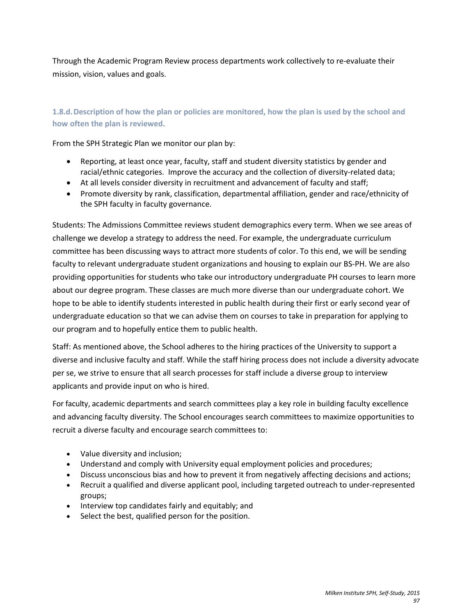Through the Academic Program Review process departments work collectively to re-evaluate their mission, vision, values and goals.

# **1.8.d.Description of how the plan or policies are monitored, how the plan is used by the school and how often the plan is reviewed.**

From the SPH Strategic Plan we monitor our plan by:

- Reporting, at least once year, faculty, staff and student diversity statistics by gender and racial/ethnic categories. Improve the accuracy and the collection of diversity-related data;
- At all levels consider diversity in recruitment and advancement of faculty and staff;
- Promote diversity by rank, classification, departmental affiliation, gender and race/ethnicity of the SPH faculty in faculty governance.

Students: The Admissions Committee reviews student demographics every term. When we see areas of challenge we develop a strategy to address the need. For example, the undergraduate curriculum committee has been discussing ways to attract more students of color. To this end, we will be sending faculty to relevant undergraduate student organizations and housing to explain our BS-PH. We are also providing opportunities for students who take our introductory undergraduate PH courses to learn more about our degree program. These classes are much more diverse than our undergraduate cohort. We hope to be able to identify students interested in public health during their first or early second year of undergraduate education so that we can advise them on courses to take in preparation for applying to our program and to hopefully entice them to public health.

Staff: As mentioned above, the School adheres to the hiring practices of the University to support a diverse and inclusive faculty and staff. While the staff hiring process does not include a diversity advocate per se, we strive to ensure that all search processes for staff include a diverse group to interview applicants and provide input on who is hired.

For faculty, academic departments and search committees play a key role in building faculty excellence and advancing faculty diversity. The School encourages search committees to maximize opportunities to recruit a diverse faculty and encourage search committees to:

- Value diversity and inclusion;
- Understand and comply with University equal employment policies and procedures;
- Discuss unconscious bias and how to prevent it from negatively affecting decisions and actions;
- Recruit a qualified and diverse applicant pool, including targeted outreach to under-represented groups;
- Interview top candidates fairly and equitably; and
- Select the best, qualified person for the position.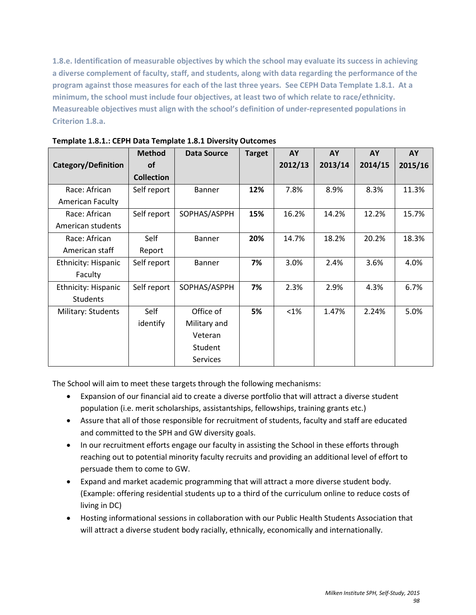**1.8.e. Identification of measurable objectives by which the school may evaluate its success in achieving a diverse complement of faculty, staff, and students, along with data regarding the performance of the program against those measures for each of the last three years. See CEPH Data Template 1.8.1. At a minimum, the school must include four objectives, at least two of which relate to race/ethnicity. Measureable objectives must align with the school's definition of under-represented populations in Criterion 1.8.a.**

|                            | <b>Method</b>     | <b>Data Source</b> | <b>Target</b> | AY      | AY      | AY      | AY      |
|----------------------------|-------------------|--------------------|---------------|---------|---------|---------|---------|
| Category/Definition        | <b>of</b>         |                    |               | 2012/13 | 2013/14 | 2014/15 | 2015/16 |
|                            | <b>Collection</b> |                    |               |         |         |         |         |
| Race: African              | Self report       | <b>Banner</b>      | 12%           | 7.8%    | 8.9%    | 8.3%    | 11.3%   |
| <b>American Faculty</b>    |                   |                    |               |         |         |         |         |
| Race: African              | Self report       | SOPHAS/ASPPH       | 15%           | 16.2%   | 14.2%   | 12.2%   | 15.7%   |
| American students          |                   |                    |               |         |         |         |         |
| Race: African              | Self              | <b>Banner</b>      | 20%           | 14.7%   | 18.2%   | 20.2%   | 18.3%   |
| American staff             | Report            |                    |               |         |         |         |         |
| <b>Ethnicity: Hispanic</b> | Self report       | <b>Banner</b>      | 7%            | 3.0%    | 2.4%    | 3.6%    | 4.0%    |
| Faculty                    |                   |                    |               |         |         |         |         |
| <b>Ethnicity: Hispanic</b> | Self report       | SOPHAS/ASPPH       | 7%            | 2.3%    | 2.9%    | 4.3%    | 6.7%    |
| <b>Students</b>            |                   |                    |               |         |         |         |         |
| Military: Students         | Self              | Office of          | 5%            | $<1\%$  | 1.47%   | 2.24%   | 5.0%    |
|                            | identify          | Military and       |               |         |         |         |         |
|                            |                   | Veteran            |               |         |         |         |         |
|                            |                   | Student            |               |         |         |         |         |
|                            |                   | <b>Services</b>    |               |         |         |         |         |

**Template 1.8.1.: CEPH Data Template 1.8.1 Diversity Outcomes**

The School will aim to meet these targets through the following mechanisms:

- Expansion of our financial aid to create a diverse portfolio that will attract a diverse student population (i.e. merit scholarships, assistantships, fellowships, training grants etc.)
- Assure that all of those responsible for recruitment of students, faculty and staff are educated and committed to the SPH and GW diversity goals.
- In our recruitment efforts engage our faculty in assisting the School in these efforts through reaching out to potential minority faculty recruits and providing an additional level of effort to persuade them to come to GW.
- Expand and market academic programming that will attract a more diverse student body. (Example: offering residential students up to a third of the curriculum online to reduce costs of living in DC)
- Hosting informational sessions in collaboration with our Public Health Students Association that will attract a diverse student body racially, ethnically, economically and internationally.